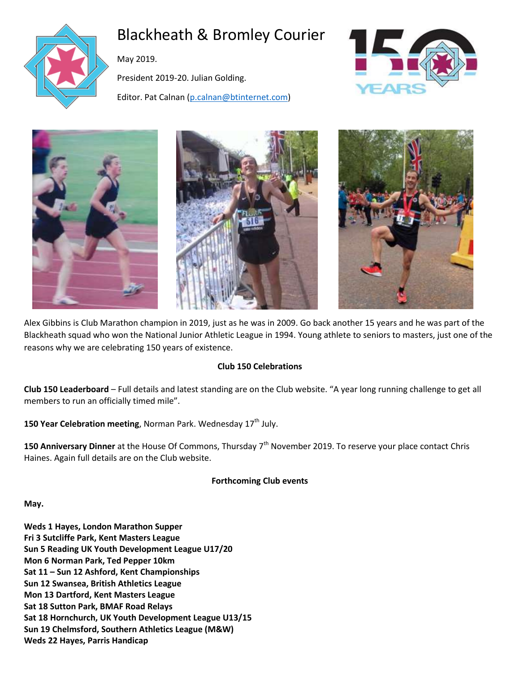

# Blackheath & Bromley Courier

May 2019.

President 2019-20. Julian Golding.

Editor. Pat Calnan [\(p.calnan@btinternet.com\)](mailto:p.calnan@btinternet.com)









Alex Gibbins is Club Marathon champion in 2019, just as he was in 2009. Go back another 15 years and he was part of the Blackheath squad who won the National Junior Athletic League in 1994. Young athlete to seniors to masters, just one of the reasons why we are celebrating 150 years of existence.

# **Club 150 Celebrations**

**Club 150 Leaderboard** – Full details and latest standing are on the Club website. "A year long running challenge to get all members to run an officially timed mile".

150 Year Celebration meeting, Norman Park. Wednesday 17<sup>th</sup> July.

150 Anniversary Dinner at the House Of Commons, Thursday 7<sup>th</sup> November 2019. To reserve your place contact Chris Haines. Again full details are on the Club website.

**Forthcoming Club events**

**May.** 

**Weds 1 Hayes, London Marathon Supper Fri 3 Sutcliffe Park, Kent Masters League Sun 5 Reading UK Youth Development League U17/20 Mon 6 Norman Park, Ted Pepper 10km Sat 11 – Sun 12 Ashford, Kent Championships Sun 12 Swansea, British Athletics League Mon 13 Dartford, Kent Masters League Sat 18 Sutton Park, BMAF Road Relays Sat 18 Hornchurch, UK Youth Development League U13/15 Sun 19 Chelmsford, Southern Athletics League (M&W) Weds 22 Hayes, Parris Handicap**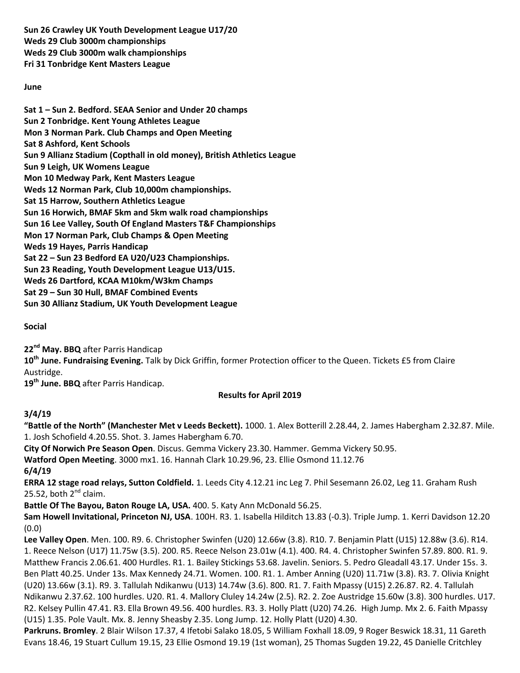**Sun 26 Crawley UK Youth Development League U17/20 Weds 29 Club 3000m championships Weds 29 Club 3000m walk championships Fri 31 Tonbridge Kent Masters League**

#### **June**

**Sat 1 – Sun 2. Bedford. SEAA Senior and Under 20 champs Sun 2 Tonbridge. Kent Young Athletes League Mon 3 Norman Park. Club Champs and Open Meeting Sat 8 Ashford, Kent Schools Sun 9 Allianz Stadium (Copthall in old money), British Athletics League Sun 9 Leigh, UK Womens League Mon 10 Medway Park, Kent Masters League Weds 12 Norman Park, Club 10,000m championships. Sat 15 Harrow, Southern Athletics League Sun 16 Horwich, BMAF 5km and 5km walk road championships Sun 16 Lee Valley, South Of England Masters T&F Championships Mon 17 Norman Park, Club Champs & Open Meeting Weds 19 Hayes, Parris Handicap Sat 22 – Sun 23 Bedford EA U20/U23 Championships. Sun 23 Reading, Youth Development League U13/U15. Weds 26 Dartford, KCAA M10km/W3km Champs Sat 29 – Sun 30 Hull, BMAF Combined Events Sun 30 Allianz Stadium, UK Youth Development League**

**Social**

**22nd May. BBQ** after Parris Handicap

**10th June. Fundraising Evening.** Talk by Dick Griffin, former Protection officer to the Queen. Tickets £5 from Claire Austridge.

**19th June. BBQ** after Parris Handicap.

# **Results for April 2019**

# **3/4/19**

**"Battle of the North" (Manchester Met v Leeds Beckett).** 1000. 1. Alex Botterill 2.28.44, 2. James Habergham 2.32.87. Mile. 1. Josh Schofield 4.20.55. Shot. 3. James Habergham 6.70.

**City Of Norwich Pre Season Open**. Discus. Gemma Vickery 23.30. Hammer. Gemma Vickery 50.95.

**Watford Open Meeting**. 3000 mx1. 16. Hannah Clark 10.29.96, 23. Ellie Osmond 11.12.76

**6/4/19**

**ERRA 12 stage road relays, Sutton Coldfield.** 1. Leeds City 4.12.21 inc Leg 7. Phil Sesemann 26.02, Leg 11. Graham Rush 25.52, both  $2^{nd}$  claim.

**Battle Of The Bayou, Baton Rouge LA, USA.** 400. 5. Katy Ann McDonald 56.25.

**Sam Howell Invitational, Princeton NJ, USA**. 100H. R3. 1. Isabella Hilditch 13.83 (-0.3). Triple Jump. 1. Kerri Davidson 12.20 (0.0)

**Lee Valley Open**. Men. 100. R9. 6. Christopher Swinfen (U20) 12.66w (3.8). R10. 7. Benjamin Platt (U15) 12.88w (3.6). R14. 1. Reece Nelson (U17) 11.75w (3.5). 200. R5. Reece Nelson 23.01w (4.1). 400. R4. 4. Christopher Swinfen 57.89. 800. R1. 9. Matthew Francis 2.06.61. 400 Hurdles. R1. 1. Bailey Stickings 53.68. Javelin. Seniors. 5. Pedro Gleadall 43.17. Under 15s. 3. Ben Platt 40.25. Under 13s. Max Kennedy 24.71. Women. 100. R1. 1. Amber Anning (U20) 11.71w (3.8). R3. 7. Olivia Knight (U20) 13.66w (3.1). R9. 3. Tallulah Ndikanwu (U13) 14.74w (3.6). 800. R1. 7. Faith Mpassy (U15) 2.26.87. R2. 4. Tallulah Ndikanwu 2.37.62. 100 hurdles. U20. R1. 4. Mallory Cluley 14.24w (2.5). R2. 2. Zoe Austridge 15.60w (3.8). 300 hurdles. U17. R2. Kelsey Pullin 47.41. R3. Ella Brown 49.56. 400 hurdles. R3. 3. Holly Platt (U20) 74.26. High Jump. Mx 2. 6. Faith Mpassy (U15) 1.35. Pole Vault. Mx. 8. Jenny Sheasby 2.35. Long Jump. 12. Holly Platt (U20) 4.30.

**Parkruns. Bromley**. 2 Blair Wilson 17.37, 4 Ifetobi Salako 18.05, 5 William Foxhall 18.09, 9 Roger Beswick 18.31, 11 Gareth Evans 18.46, 19 Stuart Cullum 19.15, 23 Ellie Osmond 19.19 (1st woman), 25 Thomas Sugden 19.22, 45 Danielle Critchley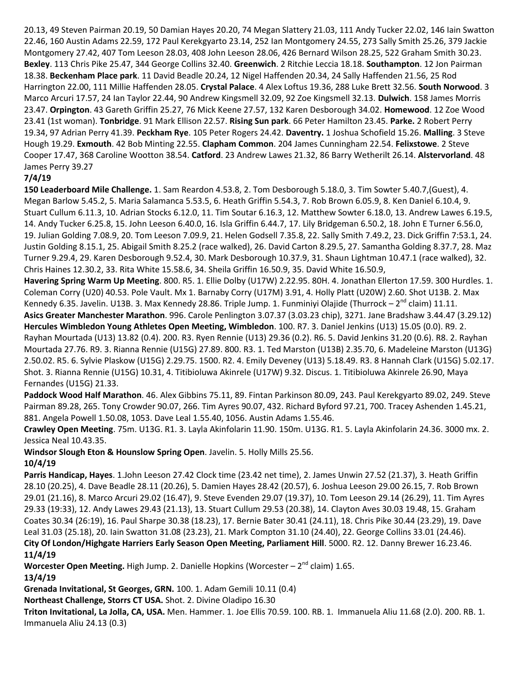20.13, 49 Steven Pairman 20.19, 50 Damian Hayes 20.20, 74 Megan Slattery 21.03, 111 Andy Tucker 22.02, 146 Iain Swatton 22.46, 160 Austin Adams 22.59, 172 Paul Kerekgyarto 23.14, 252 Ian Montgomery 24.55, 273 Sally Smith 25.26, 379 Jackie Montgomery 27.42, 407 Tom Leeson 28.03, 408 John Leeson 28.06, 426 Bernard Wilson 28.25, 522 Graham Smith 30.23. **Bexley**. 113 Chris Pike 25.47, 344 George Collins 32.40. **Greenwich**. 2 Ritchie Leccia 18.18. **Southampton**. 12 Jon Pairman 18.38. **Beckenham Place park**. 11 David Beadle 20.24, 12 Nigel Haffenden 20.34, 24 Sally Haffenden 21.56, 25 Rod Harrington 22.00, 111 Millie Haffenden 28.05. **Crystal Palace**. 4 Alex Loftus 19.36, 288 Luke Brett 32.56. **South Norwood**. 3 Marco Arcuri 17.57, 24 Ian Taylor 22.44, 90 Andrew Kingsmell 32.09, 92 Zoe Kingsmell 32.13. **Dulwich**. 158 James Morris 23.47. **Orpington**. 43 Gareth Griffin 25.27, 76 Mick Keene 27.57, 132 Karen Desborough 34.02. **Homewood**. 12 Zoe Wood 23.41 (1st woman). **Tonbridge**. 91 Mark Ellison 22.57. **Rising Sun park**. 66 Peter Hamilton 23.45. **Parke.** 2 Robert Perry 19.34, 97 Adrian Perry 41.39. **Peckham Rye**. 105 Peter Rogers 24.42. **Daventry.** 1 Joshua Schofield 15.26. **Malling**. 3 Steve Hough 19.29. **Exmouth**. 42 Bob Minting 22.55. **Clapham Common**. 204 James Cunningham 22.54. **Felixstowe**. 2 Steve Cooper 17.47, 368 Caroline Wootton 38.54. **Catford**. 23 Andrew Lawes 21.32, 86 Barry Wetherilt 26.14. **Alstervorland**. 48 James Perry 39.27

# **7/4/19**

**150 Leaderboard Mile Challenge.** 1. Sam Reardon 4.53.8, 2. Tom Desborough 5.18.0, 3. Tim Sowter 5.40.7,(Guest), 4. Megan Barlow 5.45.2, 5. Maria Salamanca 5.53.5, 6. Heath Griffin 5.54.3, 7. Rob Brown 6.05.9, 8. Ken Daniel 6.10.4, 9. Stuart Cullum 6.11.3, 10. Adrian Stocks 6.12.0, 11. Tim Soutar 6.16.3, 12. Matthew Sowter 6.18.0, 13. Andrew Lawes 6.19.5, 14. Andy Tucker 6.25.8, 15. John Leeson 6.40.0, 16. Isla Griffin 6.44.7, 17. Lily Bridgeman 6.50.2, 18. John E Turner 6.56.0, 19. Julian Golding 7.08.9, 20. Tom Leeson 7.09.9, 21. Helen Godsell 7.35.8, 22. Sally Smith 7.49.2, 23. Dick Griffin 7:53.1, 24. Justin Golding 8.15.1, 25. Abigail Smith 8.25.2 (race walked), 26. David Carton 8.29.5, 27. Samantha Golding 8.37.7, 28. Maz Turner 9.29.4, 29. Karen Desborough 9.52.4, 30. Mark Desborough 10.37.9, 31. Shaun Lightman 10.47.1 (race walked), 32. Chris Haines 12.30.2, 33. Rita White 15.58.6, 34. Sheila Griffin 16.50.9, 35. David White 16.50.9,

**Havering Spring Warm Up Meeting**. 800. R5. 1. Ellie Dolby (U17W) 2.22.95. 80H. 4. Jonathan Ellerton 17.59. 300 Hurdles. 1. Coleman Corry (U20) 40.53. Pole Vault. Mx 1. Barnaby Corry (U17M) 3.91, 4. Holly Platt (U20W) 2.60. Shot U13B. 2. Max Kennedy 6.35. Javelin. U13B. 3. Max Kennedy 28.86. Triple Jump. 1. Funminiyi Olajide (Thurrock – 2<sup>nd</sup> claim) 11.11. **Asics Greater Manchester Marathon**. 996. Carole Penlington 3.07.37 (3.03.23 chip), 3271. Jane Bradshaw 3.44.47 (3.29.12) **Hercules Wimbledon Young Athletes Open Meeting, Wimbledon**. 100. R7. 3. Daniel Jenkins (U13) 15.05 (0.0). R9. 2. Rayhan Mourtada (U13) 13.82 (0.4). 200. R3. Ryen Rennie (U13) 29.36 (0.2). R6. 5. David Jenkins 31.20 (0.6). R8. 2. Rayhan Mourtada 27.76. R9. 3. Rianna Rennie (U15G) 27.89. 800. R3. 1. Ted Marston (U13B) 2.35.70, 6. Madeleine Marston (U13G) 2.50.02. R5. 6. Sylvie Plaskow (U15G) 2.29.75. 1500. R2. 4. Emily Deveney (U13) 5.18.49. R3. 8 Hannah Clark (U15G) 5.02.17. Shot. 3. Rianna Rennie (U15G) 10.31, 4. Titibioluwa Akinrele (U17W) 9.32. Discus. 1. Titibioluwa Akinrele 26.90, Maya Fernandes (U15G) 21.33.

**Paddock Wood Half Marathon**. 46. Alex Gibbins 75.11, 89. Fintan Parkinson 80.09, 243. Paul Kerekgyarto 89.02, 249. Steve Pairman 89.28, 265. Tony Crowder 90.07, 266. Tim Ayres 90.07, 432. Richard Byford 97.21, 700. Tracey Ashenden 1.45.21, 881. Angela Powell 1.50.08, 1053. Dave Leal 1.55.40, 1056. Austin Adams 1.55.46.

**Crawley Open Meeting**. 75m. U13G. R1. 3. Layla Akinfolarin 11.90. 150m. U13G. R1. 5. Layla Akinfolarin 24.36. 3000 mx. 2. Jessica Neal 10.43.35.

**Windsor Slough Eton & Hounslow Spring Open**. Javelin. 5. Holly Mills 25.56. **10/4/19**

**Parris Handicap, Hayes**. 1.John Leeson 27.42 Clock time (23.42 net time), 2. James Unwin 27.52 (21.37), 3. Heath Griffin 28.10 (20.25), 4. Dave Beadle 28.11 (20.26), 5. Damien Hayes 28.42 (20.57), 6. Joshua Leeson 29.00 26.15, 7. Rob Brown 29.01 (21.16), 8. Marco Arcuri 29.02 (16.47), 9. Steve Evenden 29.07 (19.37), 10. Tom Leeson 29.14 (26.29), 11. Tim Ayres 29.33 (19:33), 12. Andy Lawes 29.43 (21.13), 13. Stuart Cullum 29.53 (20.38), 14. Clayton Aves 30.03 19.48, 15. Graham Coates 30.34 (26:19), 16. Paul Sharpe 30.38 (18.23), 17. Bernie Bater 30.41 (24.11), 18. Chris Pike 30.44 (23.29), 19. Dave Leal 31.03 (25.18), 20. Iain Swatton 31.08 (23.23), 21. Mark Compton 31.10 (24.40), 22. George Collins 33.01 (24.46). **City Of London/Highgate Harriers Early Season Open Meeting, Parliament Hill**. 5000. R2. 12. Danny Brewer 16.23.46. **11/4/19**

Worcester Open Meeting. High Jump. 2. Danielle Hopkins (Worcester – 2<sup>nd</sup> claim) 1.65. **13/4/19**

**Grenada Invitational, St Georges, GRN.** 100. 1. Adam Gemili 10.11 (0.4)

**Northeast Challenge, Storrs CT USA.** Shot. 2. Divine Oladipo 16.30

**Triton Invitational, La Jolla, CA, USA.** Men. Hammer. 1. Joe Ellis 70.59. 100. RB. 1. Immanuela Aliu 11.68 (2.0). 200. RB. 1. Immanuela Aliu 24.13 (0.3)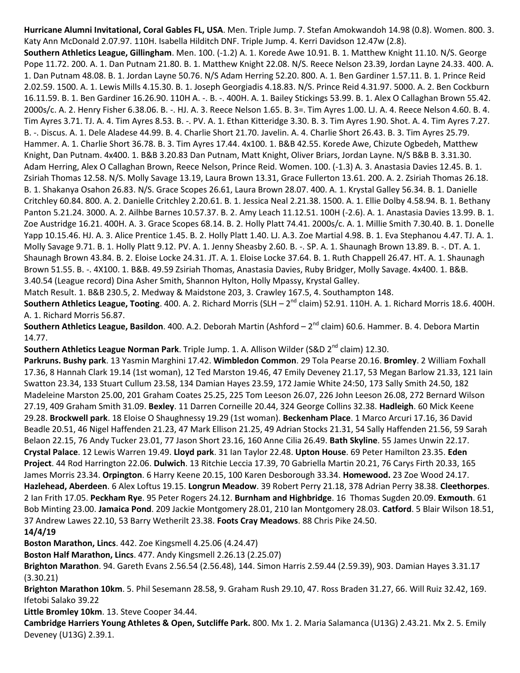**Hurricane Alumni Invitational, Coral Gables FL, USA**. Men. Triple Jump. 7. Stefan Amokwandoh 14.98 (0.8). Women. 800. 3. Katy Ann McDonald 2.07.97. 110H. Isabella Hilditch DNF. Triple Jump. 4. Kerri Davidson 12.47w (2.8).

**Southern Athletics League, Gillingham**. Men. 100. (-1.2) A. 1. Korede Awe 10.91. B. 1. Matthew Knight 11.10. N/S. George Pope 11.72. 200. A. 1. Dan Putnam 21.80. B. 1. Matthew Knight 22.08. N/S. Reece Nelson 23.39, Jordan Layne 24.33. 400. A. 1. Dan Putnam 48.08. B. 1. Jordan Layne 50.76. N/S Adam Herring 52.20. 800. A. 1. Ben Gardiner 1.57.11. B. 1. Prince Reid 2.02.59. 1500. A. 1. Lewis Mills 4.15.30. B. 1. Joseph Georgiadis 4.18.83. N/S. Prince Reid 4.31.97. 5000. A. 2. Ben Cockburn 16.11.59. B. 1. Ben Gardiner 16.26.90. 110H A. -. B. -. 400H. A. 1. Bailey Stickings 53.99. B. 1. Alex O Callaghan Brown 55.42. 2000s/c. A. 2. Henry Fisher 6.38.06. B. -. HJ. A. 3. Reece Nelson 1.65. B. 3=. Tim Ayres 1.00. LJ. A. 4. Reece Nelson 4.60. B. 4. Tim Ayres 3.71. TJ. A. 4. Tim Ayres 8.53. B. -. PV. A. 1. Ethan Kitteridge 3.30. B. 3. Tim Ayres 1.90. Shot. A. 4. Tim Ayres 7.27. B. -. Discus. A. 1. Dele Aladese 44.99. B. 4. Charlie Short 21.70. Javelin. A. 4. Charlie Short 26.43. B. 3. Tim Ayres 25.79. Hammer. A. 1. Charlie Short 36.78. B. 3. Tim Ayres 17.44. 4x100. 1. B&B 42.55. Korede Awe, Chizute Ogbedeh, Matthew Knight, Dan Putnam. 4x400. 1. B&B 3.20.83 Dan Putnam, Matt Knight, Oliver Briars, Jordan Layne. N/S B&B B. 3.31.30. Adam Herring, Alex O Callaghan Brown, Reece Nelson, Prince Reid. Women. 100. (-1.3) A. 3. Anastasia Davies 12.45. B. 1. Zsiriah Thomas 12.58. N/S. Molly Savage 13.19, Laura Brown 13.31, Grace Fullerton 13.61. 200. A. 2. Zsiriah Thomas 26.18. B. 1. Shakanya Osahon 26.83. N/S. Grace Scopes 26.61, Laura Brown 28.07. 400. A. 1. Krystal Galley 56.34. B. 1. Danielle Critchley 60.84. 800. A. 2. Danielle Critchley 2.20.61. B. 1. Jessica Neal 2.21.38. 1500. A. 1. Ellie Dolby 4.58.94. B. 1. Bethany Panton 5.21.24. 3000. A. 2. Ailhbe Barnes 10.57.37. B. 2. Amy Leach 11.12.51. 100H (-2.6). A. 1. Anastasia Davies 13.99. B. 1. Zoe Austridge 16.21. 400H. A. 3. Grace Scopes 68.14. B. 2. Holly Platt 74.41. 2000s/c. A. 1. Millie Smith 7.30.40. B. 1. Donelle Yapp 10.15.46. HJ. A. 3. Alice Prentice 1.45. B. 2. Holly Platt 1.40. LJ. A.3. Zoe Martial 4.98. B. 1. Eva Stephanou 4.47. TJ. A. 1. Molly Savage 9.71. B. 1. Holly Platt 9.12. PV. A. 1. Jenny Sheasby 2.60. B. -. SP. A. 1. Shaunagh Brown 13.89. B. -. DT. A. 1. Shaunagh Brown 43.84. B. 2. Eloise Locke 24.31. JT. A. 1. Eloise Locke 37.64. B. 1. Ruth Chappell 26.47. HT. A. 1. Shaunagh Brown 51.55. B. -. 4X100. 1. B&B. 49.59 Zsiriah Thomas, Anastasia Davies, Ruby Bridger, Molly Savage. 4x400. 1. B&B. 3.40.54 (League record) Dina Asher Smith, Shannon Hylton, Holly Mpassy, Krystal Galley.

Match Result. 1. B&B 230.5, 2. Medway & Maidstone 203, 3. Crawley 167.5, 4. Southampton 148.

**Southern Athletics League, Tooting**. 400. A. 2. Richard Morris (SLH – 2<sup>nd</sup> claim) 52.91. 110H. A. 1. Richard Morris 18.6. 400H. A. 1. Richard Morris 56.87.

**Southern Athletics League, Basildon**. 400. A.2. Deborah Martin (Ashford – 2<sup>nd</sup> claim) 60.6. Hammer. B. 4. Debora Martin 14.77.

**Southern Athletics League Norman Park**. Triple Jump. 1. A. Allison Wilder (S&D 2<sup>nd</sup> claim) 12.30.

**Parkruns. Bushy park**. 13 Yasmin Marghini 17.42. **Wimbledon Common**. 29 Tola Pearse 20.16. **Bromley**. 2 William Foxhall 17.36, 8 Hannah Clark 19.14 (1st woman), 12 Ted Marston 19.46, 47 Emily Deveney 21.17, 53 Megan Barlow 21.33, 121 Iain Swatton 23.34, 133 Stuart Cullum 23.58, 134 Damian Hayes 23.59, 172 Jamie White 24:50, 173 Sally Smith 24.50, 182 Madeleine Marston 25.00, 201 Graham Coates 25.25, 225 Tom Leeson 26.07, 226 John Leeson 26.08, 272 Bernard Wilson 27.19, 409 Graham Smith 31.09. **Bexley**. 11 Darren Corneille 20.44, 324 George Collins 32.38. **Hadleigh**. 60 Mick Keene 29.28. **Brockwell park**. 18 Eloise O Shaughnessy 19.29 (1st woman). **Beckenham Place**. 1 Marco Arcuri 17.16, 36 David Beadle 20.51, 46 Nigel Haffenden 21.23, 47 Mark Ellison 21.25, 49 Adrian Stocks 21.31, 54 Sally Haffenden 21.56, 59 Sarah Belaon 22.15, 76 Andy Tucker 23.01, 77 Jason Short 23.16, 160 Anne Cilia 26.49. **Bath Skyline**. 55 James Unwin 22.17. **Crystal Palace**. 12 Lewis Warren 19.49. **Lloyd park**. 31 Ian Taylor 22.48. **Upton House**. 69 Peter Hamilton 23.35. **Eden Project**. 44 Rod Harrington 22.06. **Dulwich**. 13 Ritchie Leccia 17.39, 70 Gabriella Martin 20.21, 76 Carys Firth 20.33, 165 James Morris 23.34. **Orpington**. 6 Harry Keene 20.15, 100 Karen Desborough 33.34. **Homewood.** 23 Zoe Wood 24.17. **Hazlehead, Aberdeen**. 6 Alex Loftus 19.15. **Longrun Meadow**. 39 Robert Perry 21.18, 378 Adrian Perry 38.38. **Cleethorpes**. 2 Ian Frith 17.05. **Peckham Rye**. 95 Peter Rogers 24.12. **Burnham and Highbridge**. 16 Thomas Sugden 20.09. **Exmouth**. 61 Bob Minting 23.00. **Jamaica Pond**. 209 Jackie Montgomery 28.01, 210 Ian Montgomery 28.03. **Catford**. 5 Blair Wilson 18.51, 37 Andrew Lawes 22.10, 53 Barry Wetherilt 23.38. **Foots Cray Meadows**. 88 Chris Pike 24.50. **14/4/19**

**Boston Marathon, Lincs**. 442. Zoe Kingsmell 4.25.06 (4.24.47)

**Boston Half Marathon, Lincs**. 477. Andy Kingsmell 2.26.13 (2.25.07)

**Brighton Marathon**. 94. Gareth Evans 2.56.54 (2.56.48), 144. Simon Harris 2.59.44 (2.59.39), 903. Damian Hayes 3.31.17 (3.30.21)

**Brighton Marathon 10km**. 5. Phil Sesemann 28.58, 9. Graham Rush 29.10, 47. Ross Braden 31.27, 66. Will Ruiz 32.42, 169. Ifetobi Salako 39.22

**Little Bromley 10km**. 13. Steve Cooper 34.44.

**Cambridge Harriers Young Athletes & Open, Sutcliffe Park.** 800. Mx 1. 2. Maria Salamanca (U13G) 2.43.21. Mx 2. 5. Emily Deveney (U13G) 2.39.1.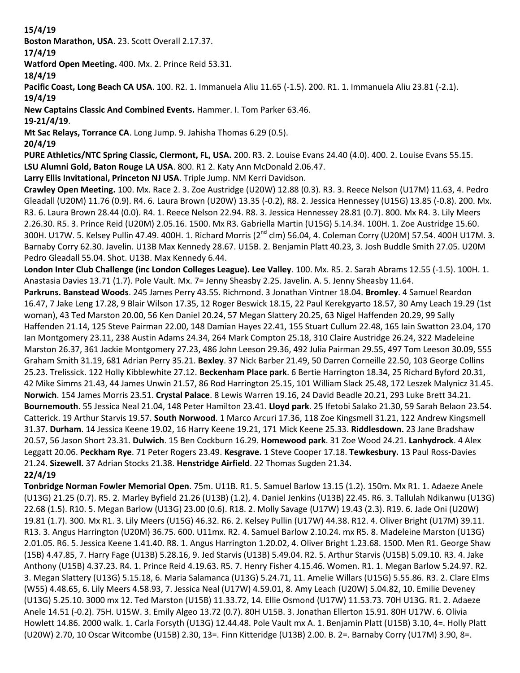# **15/4/19**

**Boston Marathon, USA**. 23. Scott Overall 2.17.37.

# **17/4/19**

**Watford Open Meeting.** 400. Mx. 2. Prince Reid 53.31.

**18/4/19**

**Pacific Coast, Long Beach CA USA**. 100. R2. 1. Immanuela Aliu 11.65 (-1.5). 200. R1. 1. Immanuela Aliu 23.81 (-2.1). **19/4/19**

**New Captains Classic And Combined Events.** Hammer. I. Tom Parker 63.46.

**19-21/4/19**.

**Mt Sac Relays, Torrance CA**. Long Jump. 9. Jahisha Thomas 6.29 (0.5).

**20/4/19**

**PURE Athletics/NTC Spring Classic, Clermont, FL, USA.** 200. R3. 2. Louise Evans 24.40 (4.0). 400. 2. Louise Evans 55.15. **LSU Alumni Gold, Baton Rouge LA USA**. 800. R1 2. Katy Ann McDonald 2.06.47.

**Larry Ellis Invitational, Princeton NJ USA**. Triple Jump. NM Kerri Davidson.

**Crawley Open Meeting.** 100. Mx. Race 2. 3. Zoe Austridge (U20W) 12.88 (0.3). R3. 3. Reece Nelson (U17M) 11.63, 4. Pedro Gleadall (U20M) 11.76 (0.9). R4. 6. Laura Brown (U20W) 13.35 (-0.2), R8. 2. Jessica Hennessey (U15G) 13.85 (-0.8). 200. Mx. R3. 6. Laura Brown 28.44 (0.0). R4. 1. Reece Nelson 22.94. R8. 3. Jessica Hennessey 28.81 (0.7). 800. Mx R4. 3. Lily Meers 2.26.30. R5. 3. Prince Reid (U20M) 2.05.16. 1500. Mx R3. Gabriella Martin (U15G) 5.14.34. 100H. 1. Zoe Austridge 15.60. 300H. U17W. 5. Kelsey Pullin 47.49. 400H. 1. Richard Morris (2<sup>nd</sup> clm) 56.04, 4. Coleman Corry (U20M) 57.54. 400H U17M. 3. Barnaby Corry 62.30. Javelin. U13B Max Kennedy 28.67. U15B. 2. Benjamin Platt 40.23, 3. Josh Buddle Smith 27.05. U20M Pedro Gleadall 55.04. Shot. U13B. Max Kennedy 6.44.

**London Inter Club Challenge (inc London Colleges League). Lee Valley**. 100. Mx. R5. 2. Sarah Abrams 12.55 (-1.5). 100H. 1. Anastasia Davies 13.71 (1.7). Pole Vault. Mx. 7= Jenny Sheasby 2.25. Javelin. A. 5. Jenny Sheasby 11.64.

**Parkruns. Banstead Woods**. 245 James Perry 43.55. Richmond. 3 Jonathan Vintner 18.04. **Bromley**. 4 Samuel Reardon 16.47, 7 Jake Leng 17.28, 9 Blair Wilson 17.35, 12 Roger Beswick 18.15, 22 Paul Kerekgyarto 18.57, 30 Amy Leach 19.29 (1st woman), 43 Ted Marston 20.00, 56 Ken Daniel 20.24, 57 Megan Slattery 20.25, 63 Nigel Haffenden 20.29, 99 Sally Haffenden 21.14, 125 Steve Pairman 22.00, 148 Damian Hayes 22.41, 155 Stuart Cullum 22.48, 165 Iain Swatton 23.04, 170 Ian Montgomery 23.11, 238 Austin Adams 24.34, 264 Mark Compton 25.18, 310 Claire Austridge 26.24, 322 Madeleine Marston 26.37, 361 Jackie Montgomery 27.23, 486 John Leeson 29.36, 492 Julia Pairman 29.55, 497 Tom Leeson 30.09, 555 Graham Smith 31.19, 681 Adrian Perry 35.21. **Bexley**. 37 Nick Barber 21.49, 50 Darren Corneille 22.50, 103 George Collins 25.23. Trelissick. 122 Holly Kibblewhite 27.12. **Beckenham Place park**. 6 Bertie Harrington 18.34, 25 Richard Byford 20.31, 42 Mike Simms 21.43, 44 James Unwin 21.57, 86 Rod Harrington 25.15, 101 William Slack 25.48, 172 Leszek Malynicz 31.45. **Norwich**. 154 James Morris 23.51. **Crystal Palace**. 8 Lewis Warren 19.16, 24 David Beadle 20.21, 293 Luke Brett 34.21. **Bournemouth**. 55 Jessica Neal 21.04, 148 Peter Hamilton 23.41. **Lloyd park**. 25 Ifetobi Salako 21.30, 59 Sarah Belaon 23.54. Catterick. 19 Arthur Starvis 19.57. **South Norwood**. 1 Marco Arcuri 17.36, 118 Zoe Kingsmell 31.21, 122 Andrew Kingsmell 31.37. **Durham**. 14 Jessica Keene 19.02, 16 Harry Keene 19.21, 171 Mick Keene 25.33. **Riddlesdown.** 23 Jane Bradshaw 20.57, 56 Jason Short 23.31. **Dulwich**. 15 Ben Cockburn 16.29. **Homewood park**. 31 Zoe Wood 24.21. **Lanhydrock**. 4 Alex Leggatt 20.06. **Peckham Rye**. 71 Peter Rogers 23.49. **Kesgrave.** 1 Steve Cooper 17.18. **Tewkesbury.** 13 Paul Ross-Davies 21.24. **Sizewell.** 37 Adrian Stocks 21.38. **Henstridge Airfield**. 22 Thomas Sugden 21.34. **22/4/19**

**Tonbridge Norman Fowler Memorial Open**. 75m. U11B. R1. 5. Samuel Barlow 13.15 (1.2). 150m. Mx R1. 1. Adaeze Anele (U13G) 21.25 (0.7). R5. 2. Marley Byfield 21.26 (U13B) (1.2), 4. Daniel Jenkins (U13B) 22.45. R6. 3. Tallulah Ndikanwu (U13G) 22.68 (1.5). R10. 5. Megan Barlow (U13G) 23.00 (0.6). R18. 2. Molly Savage (U17W) 19.43 (2.3). R19. 6. Jade Oni (U20W) 19.81 (1.7). 300. Mx R1. 3. Lily Meers (U15G) 46.32. R6. 2. Kelsey Pullin (U17W) 44.38. R12. 4. Oliver Bright (U17M) 39.11. R13. 3. Angus Harrington (U20M) 36.75. 600. U11mx. R2. 4. Samuel Barlow 2.10.24. mx R5. 8. Madeleine Marston (U13G) 2.01.05. R6. 5. Jessica Keene 1.41.40. R8. 1. Angus Harrington 1.20.02, 4. Oliver Bright 1.23.68. 1500. Men R1. George Shaw (15B) 4.47.85, 7. Harry Fage (U13B) 5.28.16, 9. Jed Starvis (U13B) 5.49.04. R2. 5. Arthur Starvis (U15B) 5.09.10. R3. 4. Jake Anthony (U15B) 4.37.23. R4. 1. Prince Reid 4.19.63. R5. 7. Henry Fisher 4.15.46. Women. R1. 1. Megan Barlow 5.24.97. R2. 3. Megan Slattery (U13G) 5.15.18, 6. Maria Salamanca (U13G) 5.24.71, 11. Amelie Willars (U15G) 5.55.86. R3. 2. Clare Elms (W55) 4.48.65, 6. Lily Meers 4.58.93, 7. Jessica Neal (U17W) 4.59.01, 8. Amy Leach (U20W) 5.04.82, 10. Emilie Deveney (U13G) 5.25.10. 3000 mx 12. Ted Marston (U15B) 11.33.72, 14. Ellie Osmond (U17W) 11.53.73. 70H U13G. R1. 2. Adaeze Anele 14.51 (-0.2). 75H. U15W. 3. Emily Algeo 13.72 (0.7). 80H U15B. 3. Jonathan Ellerton 15.91. 80H U17W. 6. Olivia Howlett 14.86. 2000 walk. 1. Carla Forsyth (U13G) 12.44.48. Pole Vault mx A. 1. Benjamin Platt (U15B) 3.10, 4=. Holly Platt (U20W) 2.70, 10 Oscar Witcombe (U15B) 2.30, 13=. Finn Kitteridge (U13B) 2.00. B. 2=. Barnaby Corry (U17M) 3.90, 8=.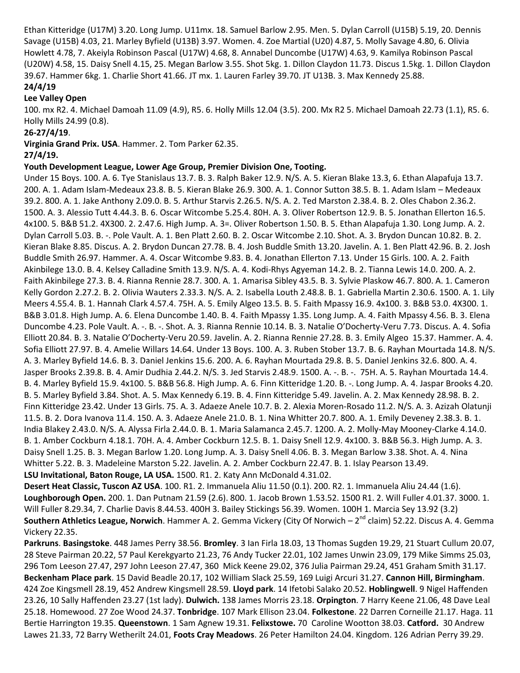Ethan Kitteridge (U17M) 3.20. Long Jump. U11mx. 18. Samuel Barlow 2.95. Men. 5. Dylan Carroll (U15B) 5.19, 20. Dennis Savage (U15B) 4.03, 21. Marley Byfield (U13B) 3.97. Women. 4. Zoe Martial (U20) 4.87, 5. Molly Savage 4.80, 6. Olivia Howlett 4.78, 7. Akeiyla Robinson Pascal (U17W) 4.68, 8. Annabel Duncombe (U17W) 4.63, 9. Kamilya Robinson Pascal (U20W) 4.58, 15. Daisy Snell 4.15, 25. Megan Barlow 3.55. Shot 5kg. 1. Dillon Claydon 11.73. Discus 1.5kg. 1. Dillon Claydon 39.67. Hammer 6kg. 1. Charlie Short 41.66. JT mx. 1. Lauren Farley 39.70. JT U13B. 3. Max Kennedy 25.88. **24/4/19**

#### **Lee Valley Open**

100. mx R2. 4. Michael Damoah 11.09 (4.9), R5. 6. Holly Mills 12.04 (3.5). 200. Mx R2 5. Michael Damoah 22.73 (1.1), R5. 6. Holly Mills 24.99 (0.8).

#### **26-27/4/19**.

**Virginia Grand Prix. USA**. Hammer. 2. Tom Parker 62.35.

#### **27/4/19.**

#### **Youth Development League, Lower Age Group, Premier Division One, Tooting.**

Under 15 Boys. 100. A. 6. Tye Stanislaus 13.7. B. 3. Ralph Baker 12.9. N/S. A. 5. Kieran Blake 13.3, 6. Ethan Alapafuja 13.7. 200. A. 1. Adam Islam-Medeaux 23.8. B. 5. Kieran Blake 26.9. 300. A. 1. Connor Sutton 38.5. B. 1. Adam Islam – Medeaux 39.2. 800. A. 1. Jake Anthony 2.09.0. B. 5. Arthur Starvis 2.26.5. N/S. A. 2. Ted Marston 2.38.4. B. 2. Oles Chabon 2.36.2. 1500. A. 3. Alessio Tutt 4.44.3. B. 6. Oscar Witcombe 5.25.4. 80H. A. 3. Oliver Robertson 12.9. B. 5. Jonathan Ellerton 16.5. 4x100. 5. B&B 51.2. 4X300. 2. 2.47.6. High Jump. A. 3=. Oliver Robertson 1.50. B. 5. Ethan Alapafuja 1.30. Long Jump. A. 2. Dylan Carroll 5.03. B. -. Pole Vault. A. 1. Ben Platt 2.60. B. 2. Oscar Witcombe 2.10. Shot. A. 3. Brydon Duncan 10.82. B. 2. Kieran Blake 8.85. Discus. A. 2. Brydon Duncan 27.78. B. 4. Josh Buddle Smith 13.20. Javelin. A. 1. Ben Platt 42.96. B. 2. Josh Buddle Smith 26.97. Hammer. A. 4. Oscar Witcombe 9.83. B. 4. Jonathan Ellerton 7.13. Under 15 Girls. 100. A. 2. Faith Akinbilege 13.0. B. 4. Kelsey Calladine Smith 13.9. N/S. A. 4. Kodi-Rhys Agyeman 14.2. B. 2. Tianna Lewis 14.0. 200. A. 2. Faith Akinbilege 27.3. B. 4. Rianna Rennie 28.7. 300. A. 1. Amarisa Sibley 43.5. B. 3. Sylvie Plaskow 46.7. 800. A. 1. Cameron Kelly Gordon 2.27.2. B. 2. Olivia Wauters 2.33.3. N/S. A. 2. Isabella Louth 2.48.8. B. 1. Gabriella Martin 2.30.6. 1500. A. 1. Lily Meers 4.55.4. B. 1. Hannah Clark 4.57.4. 75H. A. 5. Emily Algeo 13.5. B. 5. Faith Mpassy 16.9. 4x100. 3. B&B 53.0. 4X300. 1. B&B 3.01.8. High Jump. A. 6. Elena Duncombe 1.40. B. 4. Faith Mpassy 1.35. Long Jump. A. 4. Faith Mpassy 4.56. B. 3. Elena Duncombe 4.23. Pole Vault. A. -. B. -. Shot. A. 3. Rianna Rennie 10.14. B. 3. Natalie O'Docherty-Veru 7.73. Discus. A. 4. Sofia Elliott 20.84. B. 3. Natalie O'Docherty-Veru 20.59. Javelin. A. 2. Rianna Rennie 27.28. B. 3. Emily Algeo 15.37. Hammer. A. 4. Sofia Elliott 27.97. B. 4. Amelie Willars 14.64. Under 13 Boys. 100. A. 3. Ruben Stober 13.7. B. 6. Rayhan Mourtada 14.8. N/S. A. 3. Marley Byfield 14.6. B. 3. Daniel Jenkins 15.6. 200. A. 6. Rayhan Mourtada 29.8. B. 5. Daniel Jenkins 32.6. 800. A. 4. Jasper Brooks 2.39.8. B. 4. Amir Dudhia 2.44.2. N/S. 3. Jed Starvis 2.48.9. 1500. A. -. B. -. 75H. A. 5. Rayhan Mourtada 14.4. B. 4. Marley Byfield 15.9. 4x100. 5. B&B 56.8. High Jump. A. 6. Finn Kitteridge 1.20. B. -. Long Jump. A. 4. Jaspar Brooks 4.20. B. 5. Marley Byfield 3.84. Shot. A. 5. Max Kennedy 6.19. B. 4. Finn Kitteridge 5.49. Javelin. A. 2. Max Kennedy 28.98. B. 2. Finn Kitteridge 23.42. Under 13 Girls. 75. A. 3. Adaeze Anele 10.7. B. 2. Alexia Moren-Rosado 11.2. N/S. A. 3. Azizah Olatunji 11.5. B. 2. Dora Ivanova 11.4. 150. A. 3. Adaeze Anele 21.0. B. 1. Nina Whitter 20.7. 800. A. 1. Emily Deveney 2.38.3. B. 1. India Blakey 2.43.0. N/S. A. Alyssa Firla 2.44.0. B. 1. Maria Salamanca 2.45.7. 1200. A. 2. Molly-May Mooney-Clarke 4.14.0. B. 1. Amber Cockburn 4.18.1. 70H. A. 4. Amber Cockburn 12.5. B. 1. Daisy Snell 12.9. 4x100. 3. B&B 56.3. High Jump. A. 3. Daisy Snell 1.25. B. 3. Megan Barlow 1.20. Long Jump. A. 3. Daisy Snell 4.06. B. 3. Megan Barlow 3.38. Shot. A. 4. Nina Whitter 5.22. B. 3. Madeleine Marston 5.22. Javelin. A. 2. Amber Cockburn 22.47. B. 1. Islay Pearson 13.49.

# **LSU Invitational, Baton Rouge, LA USA.** 1500. R1. 2. Katy Ann McDonald 4.31.02.

**Desert Heat Classic, Tuscon AZ USA**. 100. R1. 2. Immanuela Aliu 11.50 (0.1). 200. R2. 1. Immanuela Aliu 24.44 (1.6). **Loughborough Open.** 200. 1. Dan Putnam 21.59 (2.6). 800. 1. Jacob Brown 1.53.52. 1500 R1. 2. Will Fuller 4.01.37. 3000. 1. Will Fuller 8.29.34, 7. Charlie Davis 8.44.53. 400H 3. Bailey Stickings 56.39. Women. 100H 1. Marcia Sey 13.92 (3.2) **Southern Athletics League, Norwich**. Hammer A. 2. Gemma Vickery (City Of Norwich – 2<sup>nd</sup> claim) 52.22. Discus A. 4. Gemma Vickery 22.35.

**Parkruns**. **Basingstoke**. 448 James Perry 38.56. **Bromley**. 3 Ian Firla 18.03, 13 Thomas Sugden 19.29, 21 Stuart Cullum 20.07, 28 Steve Pairman 20.22, 57 Paul Kerekgyarto 21.23, 76 Andy Tucker 22.01, 102 James Unwin 23.09, 179 Mike Simms 25.03, 296 Tom Leeson 27.47, 297 John Leeson 27.47, 360 Mick Keene 29.02, 376 Julia Pairman 29.24, 451 Graham Smith 31.17. **Beckenham Place park**. 15 David Beadle 20.17, 102 William Slack 25.59, 169 Luigi Arcuri 31.27. **Cannon Hill, Birmingham**. 424 Zoe Kingsmell 28.19, 452 Andrew Kingsmell 28.59. **Lloyd park**. 14 Ifetobi Salako 20.52. **Hoblingwell**. 9 Nigel Haffenden 23.26, 10 Sally Haffenden 23.27 (1st lady). **Dulwich.** 138 James Morris 23.18. **Orpington**. 7 Harry Keene 21.06, 48 Dave Leal 25.18. Homewood. 27 Zoe Wood 24.37. **Tonbridge**. 107 Mark Ellison 23.04. **Folkestone**. 22 Darren Corneille 21.17. Haga. 11 Bertie Harrington 19.35. **Queenstown**. 1 Sam Agnew 19.31. **Felixstowe.** 70 Caroline Wootton 38.03. **Catford.** 30 Andrew Lawes 21.33, 72 Barry Wetherilt 24.01, **Foots Cray Meadows**. 26 Peter Hamilton 24.04. Kingdom. 126 Adrian Perry 39.29.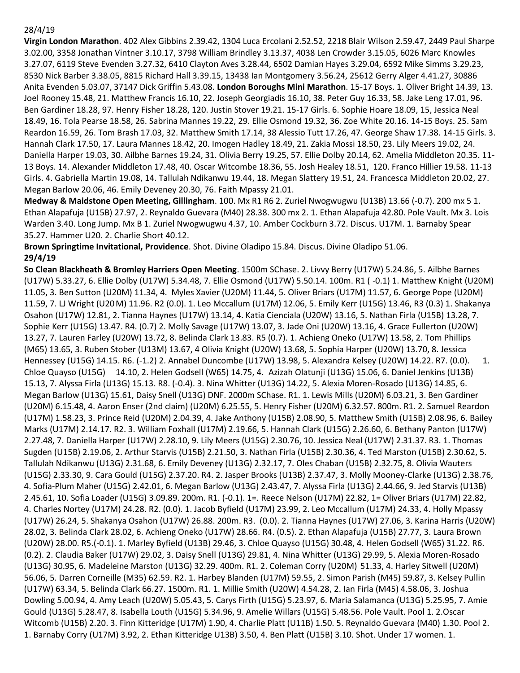#### 28/4/19

**Virgin London Marathon**. 402 Alex Gibbins 2.39.42, 1304 Luca Ercolani 2.52.52, 2218 Blair Wilson 2.59.47, 2449 Paul Sharpe 3.02.00, 3358 Jonathan Vintner 3.10.17, 3798 William Brindley 3.13.37, 4038 Len Crowder 3.15.05, 6026 Marc Knowles 3.27.07, 6119 Steve Evenden 3.27.32, 6410 Clayton Aves 3.28.44, 6502 Damian Hayes 3.29.04, 6592 Mike Simms 3.29.23, 8530 Nick Barber 3.38.05, 8815 Richard Hall 3.39.15, 13438 Ian Montgomery 3.56.24, 25612 Gerry Alger 4.41.27, 30886 Anita Evenden 5.03.07, 37147 Dick Griffin 5.43.08. **London Boroughs Mini Marathon**. 15-17 Boys. 1. Oliver Bright 14.39, 13. Joel Rooney 15.48, 21. Matthew Francis 16.10, 22. Joseph Georgiadis 16.10, 38. Peter Guy 16.33, 58. Jake Leng 17.01, 96. Ben Gardiner 18.28, 97. Henry Fisher 18.28, 120. Justin Stover 19.21. 15-17 Girls. 6. Sophie Hoare 18.09, 15, Jessica Neal 18.49, 16. Tola Pearse 18.58, 26. Sabrina Mannes 19.22, 29. Ellie Osmond 19.32, 36. Zoe White 20.16. 14-15 Boys. 25. Sam Reardon 16.59, 26. Tom Brash 17.03, 32. Matthew Smith 17.14, 38 Alessio Tutt 17.26, 47. George Shaw 17.38. 14-15 Girls. 3. Hannah Clark 17.50, 17. Laura Mannes 18.42, 20. Imogen Hadley 18.49, 21. Zakia Mossi 18.50, 23. Lily Meers 19.02, 24. Daniella Harper 19.03, 30. Ailbhe Barnes 19.24, 31. Olivia Berry 19.25, 57. Ellie Dolby 20.14, 62. Amelia Middleton 20.35. 11- 13 Boys. 14. Alexander Middleton 17.48, 40. Oscar Witcombe 18.36, 55. Josh Healey 18.51, 120. Franco Hillier 19.58. 11-13 Girls. 4. Gabriella Martin 19.08, 14. Tallulah Ndikanwu 19.44, 18. Megan Slattery 19.51, 24. Francesca Middleton 20.02, 27. Megan Barlow 20.06, 46. Emily Deveney 20.30, 76. Faith Mpassy 21.01.

**Medway & Maidstone Open Meeting, Gillingham**. 100. Mx R1 R6 2. Zuriel Nwogwugwu (U13B) 13.66 (-0.7). 200 mx 5 1. Ethan Alapafuja (U15B) 27.97, 2. Reynaldo Guevara (M40) 28.38. 300 mx 2. 1. Ethan Alapafuja 42.80. Pole Vault. Mx 3. Lois Warden 3.40. Long Jump. Mx B 1. Zuriel Nwogwugwu 4.37, 10. Amber Cockburn 3.72. Discus. U17M. 1. Barnaby Spear 35.27. Hammer U20. 2. Charlie Short 40.12.

**Brown Springtime Invitational, Providence**. Shot. Divine Oladipo 15.84. Discus. Divine Oladipo 51.06. **29/4/19**

**So Clean Blackheath & Bromley Harriers Open Meeting**. 1500m SChase. 2. Livvy Berry (U17W) 5.24.86, 5. Ailbhe Barnes (U17W) 5.33.27, 6. Ellie Dolby (U17W) 5.34.48, 7. Ellie Osmond (U17W) 5.50.14. 100m. R1 ( -0.1) 1. Matthew Knight (U20M) 11.05, 3. Ben Sutton (U20M) 11.34, 4. Myles Xavier (U20M) 11.44, 5. Oliver Briars (U17M) 11.57, 6. George Pope (U20M) 11.59, 7. LJ Wright (U20M) 11.96. R2 (0.0). 1. Leo Mccallum (U17M) 12.06, 5. Emily Kerr (U15G) 13.46, R3 (0.3) 1. Shakanya Osahon (U17W) 12.81, 2. Tianna Haynes (U17W) 13.14, 4. Katia Cienciala (U20W) 13.16, 5. Nathan Firla (U15B) 13.28, 7. Sophie Kerr (U15G) 13.47. R4. (0.7) 2. Molly Savage (U17W) 13.07, 3. Jade Oni (U20W) 13.16, 4. Grace Fullerton (U20W) 13.27, 7. Lauren Farley (U20W) 13.72, 8. Belinda Clark 13.83. R5 (0.7). 1. Achieng Oneko (U17W) 13.58, 2. Tom Phillips (M65) 13.65, 3. Ruben Stober (U13M) 13.67, 4 Olivia Knight (U20W) 13.68, 5. Sophia Harper (U20W) 13.70, 8. Jessica Hennessey (U15G) 14.15. R6. (-1.2) 2. Annabel Duncombe (U17W) 13.98, 5. Alexandra Kelsey (U20W) 14.22. R7. (0.0). 1. Chloe Quayso (U15G) 14.10, 2. Helen Godsell (W65) 14.75, 4. Azizah Olatunji (U13G) 15.06, 6. Daniel Jenkins (U13B) 15.13, 7. Alyssa Firla (U13G) 15.13. R8. (-0.4). 3. Nina Whitter (U13G) 14.22, 5. Alexia Moren-Rosado (U13G) 14.85, 6. Megan Barlow (U13G) 15.61, Daisy Snell (U13G) DNF. 2000m SChase. R1. 1. Lewis Mills (U20M) 6.03.21, 3. Ben Gardiner (U20M) 6.15.48, 4. Aaron Enser (2nd claim) (U20M) 6.25.55, 5. Henry Fisher (U20M) 6.32.57. 800m. R1. 2. Samuel Reardon (U17M) 1.58.23, 3. Prince Reid (U20M) 2.04.39, 4. Jake Anthony (U15B) 2.08.90, 5. Matthew Smith (U15B) 2.08.96, 6. Bailey Marks (U17M) 2.14.17. R2. 3. William Foxhall (U17M) 2.19.66, 5. Hannah Clark (U15G) 2.26.60, 6. Bethany Panton (U17W) 2.27.48, 7. Daniella Harper (U17W) 2.28.10, 9. Lily Meers (U15G) 2.30.76, 10. Jessica Neal (U17W) 2.31.37. R3. 1. Thomas Sugden (U15B) 2.19.06, 2. Arthur Starvis (U15B) 2.21.50, 3. Nathan Firla (U15B) 2.30.36, 4. Ted Marston (U15B) 2.30.62, 5. Tallulah Ndikanwu (U13G) 2.31.68, 6. Emily Deveney (U13G) 2.32.17, 7. Oles Chaban (U15B) 2.32.75, 8. Olivia Wauters (U15G) 2.33.30, 9. Cara Gould (U15G) 2.37.20. R4. 2. Jasper Brooks (U13B) 2.37.47, 3. Molly Mooney-Clarke (U13G) 2.38.76, 4. Sofia-Plum Maher (U15G) 2.42.01, 6. Megan Barlow (U13G) 2.43.47, 7. Alyssa Firla (U13G) 2.44.66, 9. Jed Starvis (U13B) 2.45.61, 10. Sofia Loader (U15G) 3.09.89. 200m. R1. (-0.1). 1=. Reece Nelson (U17M) 22.82, 1= Oliver Briars (U17M) 22.82, 4. Charles Nortey (U17M) 24.28. R2. (0.0). 1. Jacob Byfield (U17M) 23.99, 2. Leo Mccallum (U17M) 24.33, 4. Holly Mpassy (U17W) 26.24, 5. Shakanya Osahon (U17W) 26.88. 200m. R3. (0.0). 2. Tianna Haynes (U17W) 27.06, 3. Karina Harris (U20W) 28.02, 3. Belinda Clark 28.02, 6. Achieng Oneko (U17W) 28.66. R4. (0.5). 2. Ethan Alapafuja (U15B) 27.77, 3. Laura Brown (U20W) 28.00. R5.(-0.1). 1. Marley Byfield (U13B) 29.46, 3. Chloe Quayso (U15G) 30.48, 4. Helen Godsell (W65) 31.22. R6. (0.2). 2. Claudia Baker (U17W) 29.02, 3. Daisy Snell (U13G) 29.81, 4. Nina Whitter (U13G) 29.99, 5. Alexia Moren-Rosado (U13G) 30.95, 6. Madeleine Marston (U13G) 32.29. 400m. R1. 2. Coleman Corry (U20M) 51.33, 4. Harley Sitwell (U20M) 56.06, 5. Darren Corneille (M35) 62.59. R2. 1. Harbey Blanden (U17M) 59.55, 2. Simon Parish (M45) 59.87, 3. Kelsey Pullin (U17W) 63.34, 5. Belinda Clark 66.27. 1500m. R1. 1. Millie Smith (U20W) 4.54.28, 2. Ian Firla (M45) 4.58.06, 3. Joshua Dowling 5.00.94, 4. Amy Leach (U20W) 5.05.43, 5. Carys Firth (U15G) 5.23.97, 6. Maria Salamanca (U13G) 5.25.95, 7. Amie Gould (U13G) 5.28.47, 8. Isabella Louth (U15G) 5.34.96, 9. Amelie Willars (U15G) 5.48.56. Pole Vault. Pool 1. 2.Oscar Witcomb (U15B) 2.20. 3. Finn Kitteridge (U17M) 1.90, 4. Charlie Platt (U11B) 1.50. 5. Reynaldo Guevara (M40) 1.30. Pool 2. 1. Barnaby Corry (U17M) 3.92, 2. Ethan Kitteridge U13B) 3.50, 4. Ben Platt (U15B) 3.10. Shot. Under 17 women. 1.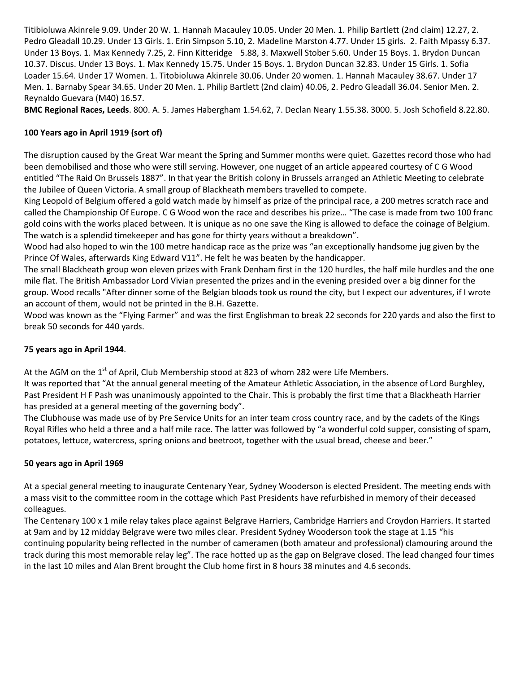Titibioluwa Akinrele 9.09. Under 20 W. 1. Hannah Macauley 10.05. Under 20 Men. 1. Philip Bartlett (2nd claim) 12.27, 2. Pedro Gleadall 10.29. Under 13 Girls. 1. Erin Simpson 5.10, 2. Madeline Marston 4.77. Under 15 girls. 2. Faith Mpassy 6.37. Under 13 Boys. 1. Max Kennedy 7.25, 2. Finn Kitteridge 5.88, 3. Maxwell Stober 5.60. Under 15 Boys. 1. Brydon Duncan 10.37. Discus. Under 13 Boys. 1. Max Kennedy 15.75. Under 15 Boys. 1. Brydon Duncan 32.83. Under 15 Girls. 1. Sofia Loader 15.64. Under 17 Women. 1. Titobioluwa Akinrele 30.06. Under 20 women. 1. Hannah Macauley 38.67. Under 17 Men. 1. Barnaby Spear 34.65. Under 20 Men. 1. Philip Bartlett (2nd claim) 40.06, 2. Pedro Gleadall 36.04. Senior Men. 2. Reynaldo Guevara (M40) 16.57.

**BMC Regional Races, Leeds**. 800. A. 5. James Habergham 1.54.62, 7. Declan Neary 1.55.38. 3000. 5. Josh Schofield 8.22.80.

### **100 Years ago in April 1919 (sort of)**

The disruption caused by the Great War meant the Spring and Summer months were quiet. Gazettes record those who had been demobilised and those who were still serving. However, one nugget of an article appeared courtesy of C G Wood entitled "The Raid On Brussels 1887". In that year the British colony in Brussels arranged an Athletic Meeting to celebrate the Jubilee of Queen Victoria. A small group of Blackheath members travelled to compete.

King Leopold of Belgium offered a gold watch made by himself as prize of the principal race, a 200 metres scratch race and called the Championship Of Europe. C G Wood won the race and describes his prize… "The case is made from two 100 franc gold coins with the works placed between. It is unique as no one save the King is allowed to deface the coinage of Belgium. The watch is a splendid timekeeper and has gone for thirty years without a breakdown".

Wood had also hoped to win the 100 metre handicap race as the prize was "an exceptionally handsome jug given by the Prince Of Wales, afterwards King Edward V11". He felt he was beaten by the handicapper.

The small Blackheath group won eleven prizes with Frank Denham first in the 120 hurdles, the half mile hurdles and the one mile flat. The British Ambassador Lord Vivian presented the prizes and in the evening presided over a big dinner for the group. Wood recalls "After dinner some of the Belgian bloods took us round the city, but I expect our adventures, if I wrote an account of them, would not be printed in the B.H. Gazette.

Wood was known as the "Flying Farmer" and was the first Englishman to break 22 seconds for 220 yards and also the first to break 50 seconds for 440 yards.

#### **75 years ago in April 1944**.

At the AGM on the 1<sup>st</sup> of April, Club Membership stood at 823 of whom 282 were Life Members.

It was reported that "At the annual general meeting of the Amateur Athletic Association, in the absence of Lord Burghley, Past President H F Pash was unanimously appointed to the Chair. This is probably the first time that a Blackheath Harrier has presided at a general meeting of the governing body".

The Clubhouse was made use of by Pre Service Units for an inter team cross country race, and by the cadets of the Kings Royal Rifles who held a three and a half mile race. The latter was followed by "a wonderful cold supper, consisting of spam, potatoes, lettuce, watercress, spring onions and beetroot, together with the usual bread, cheese and beer."

#### **50 years ago in April 1969**

At a special general meeting to inaugurate Centenary Year, Sydney Wooderson is elected President. The meeting ends with a mass visit to the committee room in the cottage which Past Presidents have refurbished in memory of their deceased colleagues.

The Centenary 100 x 1 mile relay takes place against Belgrave Harriers, Cambridge Harriers and Croydon Harriers. It started at 9am and by 12 midday Belgrave were two miles clear. President Sydney Wooderson took the stage at 1.15 "his continuing popularity being reflected in the number of cameramen (both amateur and professional) clamouring around the track during this most memorable relay leg". The race hotted up as the gap on Belgrave closed. The lead changed four times in the last 10 miles and Alan Brent brought the Club home first in 8 hours 38 minutes and 4.6 seconds.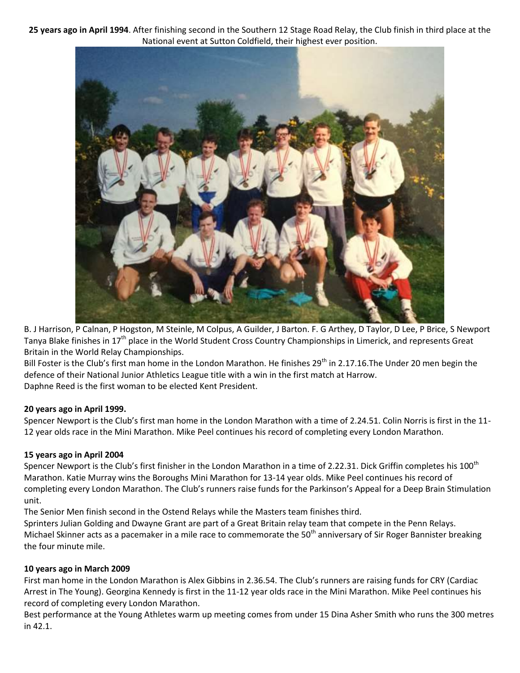**25 years ago in April 1994**. After finishing second in the Southern 12 Stage Road Relay, the Club finish in third place at the National event at Sutton Coldfield, their highest ever position.



B. J Harrison, P Calnan, P Hogston, M Steinle, M Colpus, A Guilder, J Barton. F. G Arthey, D Taylor, D Lee, P Brice, S Newport Tanya Blake finishes in 17<sup>th</sup> place in the World Student Cross Country Championships in Limerick, and represents Great Britain in the World Relay Championships.

Bill Foster is the Club's first man home in the London Marathon. He finishes 29<sup>th</sup> in 2.17.16.The Under 20 men begin the defence of their National Junior Athletics League title with a win in the first match at Harrow. Daphne Reed is the first woman to be elected Kent President.

#### **20 years ago in April 1999.**

Spencer Newport is the Club's first man home in the London Marathon with a time of 2.24.51. Colin Norris is first in the 11- 12 year olds race in the Mini Marathon. Mike Peel continues his record of completing every London Marathon.

# **15 years ago in April 2004**

Spencer Newport is the Club's first finisher in the London Marathon in a time of 2.22.31. Dick Griffin completes his 100<sup>th</sup> Marathon. Katie Murray wins the Boroughs Mini Marathon for 13-14 year olds. Mike Peel continues his record of completing every London Marathon. The Club's runners raise funds for the Parkinson's Appeal for a Deep Brain Stimulation unit.

The Senior Men finish second in the Ostend Relays while the Masters team finishes third.

Sprinters Julian Golding and Dwayne Grant are part of a Great Britain relay team that compete in the Penn Relays. Michael Skinner acts as a pacemaker in a mile race to commemorate the 50<sup>th</sup> anniversary of Sir Roger Bannister breaking the four minute mile.

# **10 years ago in March 2009**

First man home in the London Marathon is Alex Gibbins in 2.36.54. The Club's runners are raising funds for CRY (Cardiac Arrest in The Young). Georgina Kennedy is first in the 11-12 year olds race in the Mini Marathon. Mike Peel continues his record of completing every London Marathon.

Best performance at the Young Athletes warm up meeting comes from under 15 Dina Asher Smith who runs the 300 metres in 42.1.